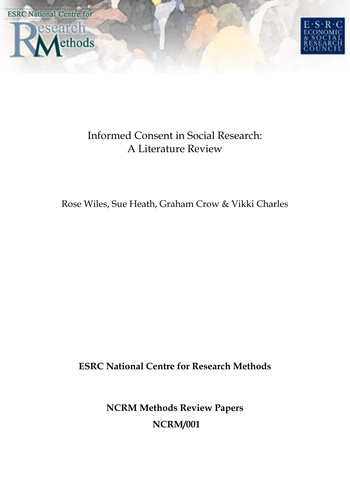



# Informed Consent in Social Research: A Literature Review

Rose Wiles, Sue Heath, Graham Crow & Vikki Charles

**ESRC National Centre for Research Methods**

**NCRM Methods Review Papers NCRM/001**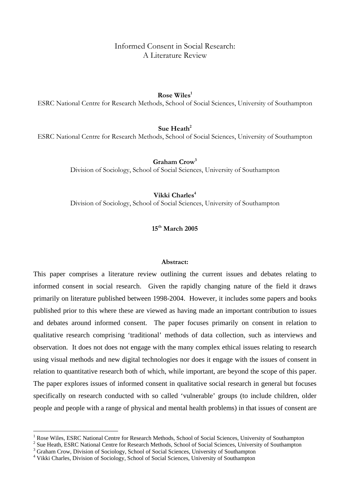Informed Consent in Social Research: A Literature Review

**Rose Wiles1**

ESRC National Centre for Research Methods, School of Social Sciences, University of Southampton

**Sue Heath<sup>2</sup>** 

ESRC National Centre for Research Methods, School of Social Sciences, University of Southampton

**Graham Crow3**

Division of Sociology, School of Social Sciences, University of Southampton

Vikki Charles<sup>4</sup>

Division of Sociology, School of Social Sciences, University of Southampton

**15th March 2005** 

## **Abstract:**

This paper comprises a literature review outlining the current issues and debates relating to informed consent in social research. Given the rapidly changing nature of the field it draws primarily on literature published between 1998-2004. However, it includes some papers and books published prior to this where these are viewed as having made an important contribution to issues and debates around informed consent. The paper focuses primarily on consent in relation to qualitative research comprising 'traditional' methods of data collection, such as interviews and observation. It does not does not engage with the many complex ethical issues relating to research using visual methods and new digital technologies nor does it engage with the issues of consent in relation to quantitative research both of which, while important, are beyond the scope of this paper. The paper explores issues of informed consent in qualitative social research in general but focuses specifically on research conducted with so called 'vulnerable' groups (to include children, older people and people with a range of physical and mental health problems) in that issues of consent are

 $\overline{a}$ 

<sup>1</sup> Rose Wiles, ESRC National Centre for Research Methods, School of Social Sciences, University of Southampton <sup>2</sup>

Sue Heath, ESRC National Centre for Research Methods, School of Social Sciences, University of Southampton

<sup>3</sup> Graham Crow, Division of Sociology, School of Social Sciences, University of Southampton

<sup>4</sup> Vikki Charles, Division of Sociology, School of Social Sciences, University of Southampton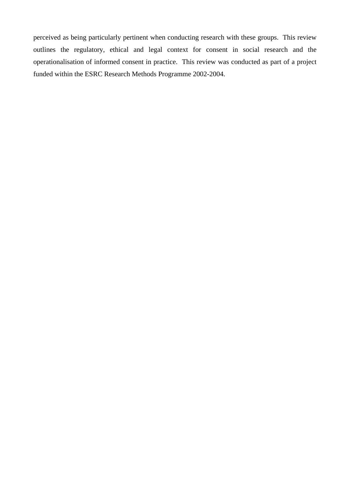perceived as being particularly pertinent when conducting research with these groups. This review outlines the regulatory, ethical and legal context for consent in social research and the operationalisation of informed consent in practice. This review was conducted as part of a project funded within the ESRC Research Methods Programme 2002-2004.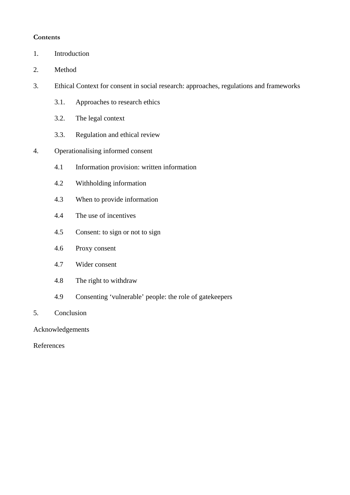# **Contents**

- 1. Introduction
- 2. Method
- 3. Ethical Context for consent in social research: approaches, regulations and frameworks
	- 3.1. Approaches to research ethics
	- 3.2. The legal context
	- 3.3. Regulation and ethical review
- 4. Operationalising informed consent
	- 4.1 Information provision: written information
	- 4.2 Withholding information
	- 4.3 When to provide information
	- 4.4 The use of incentives
	- 4.5 Consent: to sign or not to sign
	- 4.6 Proxy consent
	- 4.7 Wider consent
	- 4.8 The right to withdraw
	- 4.9 Consenting 'vulnerable' people: the role of gatekeepers
- 5. Conclusion

Acknowledgements

References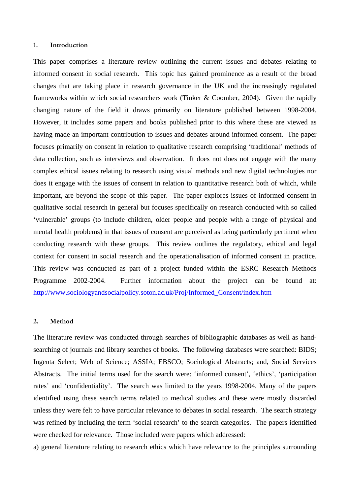#### **1. Introduction**

This paper comprises a literature review outlining the current issues and debates relating to informed consent in social research. This topic has gained prominence as a result of the broad changes that are taking place in research governance in the UK and the increasingly regulated frameworks within which social researchers work (Tinker & Coomber, 2004). Given the rapidly changing nature of the field it draws primarily on literature published between 1998-2004. However, it includes some papers and books published prior to this where these are viewed as having made an important contribution to issues and debates around informed consent. The paper focuses primarily on consent in relation to qualitative research comprising 'traditional' methods of data collection, such as interviews and observation. It does not does not engage with the many complex ethical issues relating to research using visual methods and new digital technologies nor does it engage with the issues of consent in relation to quantitative research both of which, while important, are beyond the scope of this paper. The paper explores issues of informed consent in qualitative social research in general but focuses specifically on research conducted with so called 'vulnerable' groups (to include children, older people and people with a range of physical and mental health problems) in that issues of consent are perceived as being particularly pertinent when conducting research with these groups. This review outlines the regulatory, ethical and legal context for consent in social research and the operationalisation of informed consent in practice. This review was conducted as part of a project funded within the ESRC Research Methods Programme 2002-2004. Further information about the project can be found at: http://www.sociologyandsocialpolicy.soton.ac.uk/Proj/Informed\_Consent/index.htm

## **2. Method**

The literature review was conducted through searches of bibliographic databases as well as handsearching of journals and library searches of books. The following databases were searched: BIDS; Ingenta Select; Web of Science; ASSIA; EBSCO; Sociological Abstracts; and, Social Services Abstracts. The initial terms used for the search were: 'informed consent', 'ethics', 'participation rates' and 'confidentiality'. The search was limited to the years 1998-2004. Many of the papers identified using these search terms related to medical studies and these were mostly discarded unless they were felt to have particular relevance to debates in social research. The search strategy was refined by including the term 'social research' to the search categories. The papers identified were checked for relevance. Those included were papers which addressed:

a) general literature relating to research ethics which have relevance to the principles surrounding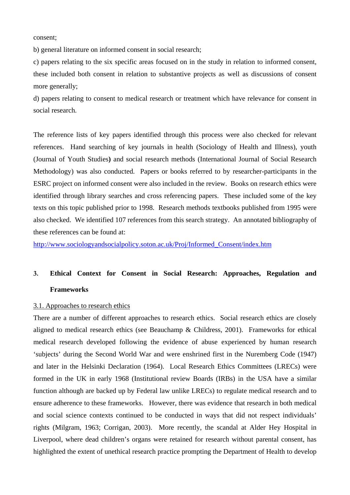consent;

b) general literature on informed consent in social research;

c) papers relating to the six specific areas focused on in the study in relation to informed consent, these included both consent in relation to substantive projects as well as discussions of consent more generally;

d) papers relating to consent to medical research or treatment which have relevance for consent in social research.

The reference lists of key papers identified through this process were also checked for relevant references. Hand searching of key journals in health (Sociology of Health and Illness), youth (Journal of Youth Studies**)** and social research methods (International Journal of Social Research Methodology) was also conducted. Papers or books referred to by researcher-participants in the ESRC project on informed consent were also included in the review. Books on research ethics were identified through library searches and cross referencing papers. These included some of the key texts on this topic published prior to 1998. Research methods textbooks published from 1995 were also checked. We identified 107 references from this search strategy. An annotated bibliography of these references can be found at:

http://www.sociologyandsocialpolicy.soton.ac.uk/Proj/Informed\_Consent/index.htm

# **3. Ethical Context for Consent in Social Research: Approaches, Regulation and Frameworks**

# 3.1. Approaches to research ethics

There are a number of different approaches to research ethics. Social research ethics are closely aligned to medical research ethics (see Beauchamp & Childress, 2001). Frameworks for ethical medical research developed following the evidence of abuse experienced by human research 'subjects' during the Second World War and were enshrined first in the Nuremberg Code (1947) and later in the Helsinki Declaration (1964). Local Research Ethics Committees (LRECs) were formed in the UK in early 1968 (Institutional review Boards (IRBs) in the USA have a similar function although are backed up by Federal law unlike LRECs) to regulate medical research and to ensure adherence to these frameworks. However, there was evidence that research in both medical and social science contexts continued to be conducted in ways that did not respect individuals' rights (Milgram, 1963; Corrigan, 2003). More recently, the scandal at Alder Hey Hospital in Liverpool, where dead children's organs were retained for research without parental consent, has highlighted the extent of unethical research practice prompting the Department of Health to develop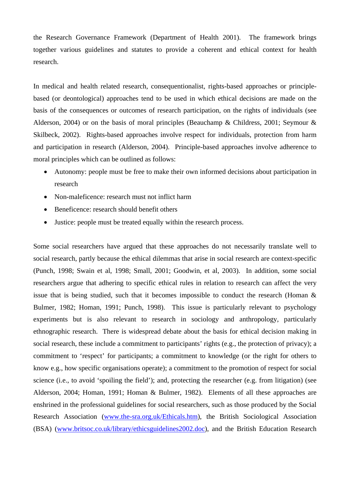the Research Governance Framework (Department of Health 2001). The framework brings together various guidelines and statutes to provide a coherent and ethical context for health research.

In medical and health related research, consequentionalist, rights-based approaches or principlebased (or deontological) approaches tend to be used in which ethical decisions are made on the basis of the consequences or outcomes of research participation, on the rights of individuals (see Alderson, 2004) or on the basis of moral principles (Beauchamp & Childress, 2001; Seymour & Skilbeck, 2002). Rights-based approaches involve respect for individuals, protection from harm and participation in research (Alderson, 2004). Principle-based approaches involve adherence to moral principles which can be outlined as follows:

- Autonomy: people must be free to make their own informed decisions about participation in research
- Non-maleficence: research must not inflict harm
- Beneficence: research should benefit others
- Justice: people must be treated equally within the research process.

Some social researchers have argued that these approaches do not necessarily translate well to social research, partly because the ethical dilemmas that arise in social research are context-specific (Punch, 1998; Swain et al, 1998; Small, 2001; Goodwin, et al, 2003). In addition, some social researchers argue that adhering to specific ethical rules in relation to research can affect the very issue that is being studied, such that it becomes impossible to conduct the research (Homan & Bulmer, 1982; Homan, 1991; Punch, 1998). This issue is particularly relevant to psychology experiments but is also relevant to research in sociology and anthropology, particularly ethnographic research. There is widespread debate about the basis for ethical decision making in social research, these include a commitment to participants' rights (e.g., the protection of privacy); a commitment to 'respect' for participants; a commitment to knowledge (or the right for others to know e.g., how specific organisations operate); a commitment to the promotion of respect for social science (i.e., to avoid 'spoiling the field'); and, protecting the researcher (e.g. from litigation) (see Alderson, 2004; Homan, 1991; Homan & Bulmer, 1982). Elements of all these approaches are enshrined in the professional guidelines for social researchers, such as those produced by the Social Research Association (www.the-sra.org.uk/Ethicals.htm), the British Sociological Association (BSA) (www.britsoc.co.uk/library/ethicsguidelines2002.doc), and the British Education Research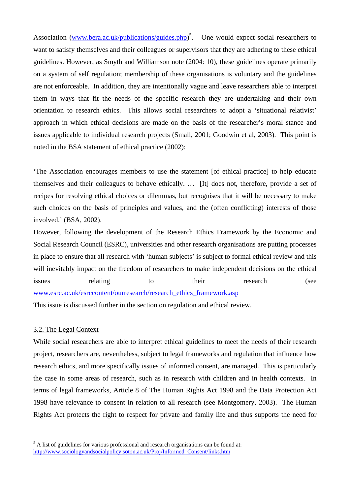Association (www.bera.ac.uk/publications/guides.php)<sup>5</sup>. One would expect social researchers to want to satisfy themselves and their colleagues or supervisors that they are adhering to these ethical guidelines. However, as Smyth and Williamson note (2004: 10), these guidelines operate primarily on a system of self regulation; membership of these organisations is voluntary and the guidelines are not enforceable. In addition, they are intentionally vague and leave researchers able to interpret them in ways that fit the needs of the specific research they are undertaking and their own orientation to research ethics. This allows social researchers to adopt a 'situational relativist' approach in which ethical decisions are made on the basis of the researcher's moral stance and issues applicable to individual research projects (Small, 2001; Goodwin et al, 2003). This point is noted in the BSA statement of ethical practice (2002):

'The Association encourages members to use the statement [of ethical practice] to help educate themselves and their colleagues to behave ethically. … [It] does not, therefore, provide a set of recipes for resolving ethical choices or dilemmas, but recognises that it will be necessary to make such choices on the basis of principles and values, and the (often conflicting) interests of those involved.' (BSA, 2002).

However, following the development of the Research Ethics Framework by the Economic and Social Research Council (ESRC), universities and other research organisations are putting processes in place to ensure that all research with 'human subjects' is subject to formal ethical review and this will inevitably impact on the freedom of researchers to make independent decisions on the ethical issues relating to their research (see www.esrc.ac.uk/esrccontent/ourresearch/research\_ethics\_framework.asp

This issue is discussed further in the section on regulation and ethical review.

# 3.2. The Legal Context

 $\overline{a}$ 

While social researchers are able to interpret ethical guidelines to meet the needs of their research project, researchers are, nevertheless, subject to legal frameworks and regulation that influence how research ethics, and more specifically issues of informed consent, are managed. This is particularly the case in some areas of research, such as in research with children and in health contexts. In terms of legal frameworks, Article 8 of The Human Rights Act 1998 and the Data Protection Act 1998 have relevance to consent in relation to all research (see Montgomery, 2003). The Human Rights Act protects the right to respect for private and family life and thus supports the need for

<sup>&</sup>lt;sup>5</sup> A list of guidelines for various professional and research organisations can be found at: http://www.sociologyandsocialpolicy.soton.ac.uk/Proj/Informed\_Consent/links.htm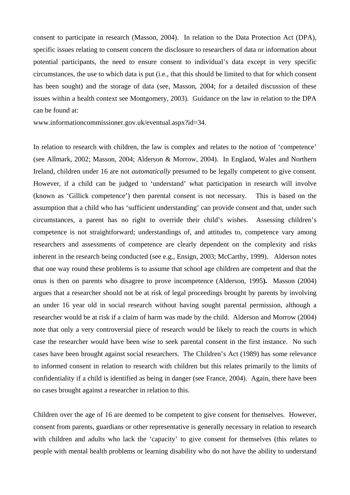consent to participate in research (Masson, 2004).In relation to the Data Protection Act (DPA), specific issues relating to consent concern the disclosure to researchers of data or information about potential participants, the need to ensure consent to individual's data except in very specific circumstances, the use to which data is put (i.e., that this should be limited to that for which consent has been sought) and the storage of data (see, Masson, 2004; for a detailed discussion of these issues within a health context see Montgomery, 2003). Guidance on the law in relation to the DPA can be found at:

www.informationcommissioner.gov.uk/eventual.aspx?id=34.

In relation to research with children, the law is complex and relates to the notion of 'competence' (see Allmark, 2002; Masson, 2004; Alderson & Morrow, 2004). In England, Wales and Northern Ireland, children under 16 are not *automatically* presumed to be legally competent to give consent. However, if a child can be judged to 'understand' what participation in research will involve (known as 'Gillick competence') then parental consent is not necessary. This is based on the assumption that a child who has 'sufficient understanding' can provide consent and that, under such circumstances, a parent has no right to override their child's wishes. Assessing children's competence is not straightforward; understandings of, and attitudes to, competence vary among researchers and assessments of competence are clearly dependent on the complexity and risks inherent in the research being conducted (see e.g., Ensign, 2003; McCarthy, 1999). Alderson notes that one way round these problems is to assume that school age children are competent and that the onus is then on parents who disagree to prove incompetence (Alderson, 1995**).** Masson (2004) argues that a researcher should not be at risk of legal proceedings brought by parents by involving an under 16 year old in social research without having sought parental permission, although a researcher would be at risk if a claim of harm was made by the child. Alderson and Morrow (2004) note that only a very controversial piece of research would be likely to reach the courts in which case the researcher would have been wise to seek parental consent in the first instance. No such cases have been brought against social researchers. The Children's Act (1989) has some relevance to informed consent in relation to research with children but this relates primarily to the limits of confidentiality if a child is identified as being in danger (see France, 2004). Again, there have been no cases brought against a researcher in relation to this.

Children over the age of 16 are deemed to be competent to give consent for themselves. However, consent from parents, guardians or other representative is generally necessary in relation to research with children and adults who lack the 'capacity' to give consent for themselves (this relates to people with mental health problems or learning disability who do not have the ability to understand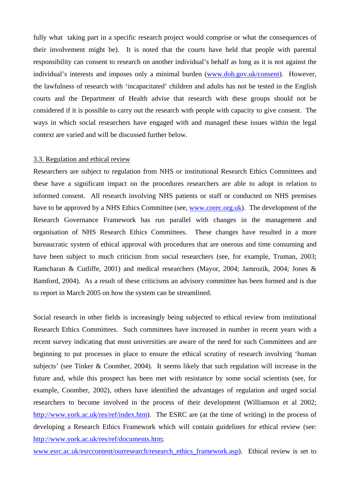fully what taking part in a specific research project would comprise or what the consequences of their involvement might be). It is noted that the courts have held that people with parental responsibility can consent to research on another individual's behalf as long as it is not against the individual's interests and imposes only a minimal burden (www.doh.gov.uk/consent). However, the lawfulness of research with 'incapacitated' children and adults has not be tested in the English courts and the Department of Health advise that research with these groups should not be considered if it is possible to carry out the research with people with capacity to give consent. The ways in which social researchers have engaged with and managed these issues within the legal context are varied and will be discussed further below.

#### 3.3. Regulation and ethical review

Researchers are subject to regulation from NHS or institutional Research Ethics Committees and these have a significant impact on the procedures researchers are able to adopt in relation to informed consent. All research involving NHS patients or staff or conducted on NHS premises have to be approved by a NHS Ethics Committee (see, www.corec.org.uk). The development of the Research Governance Framework has run parallel with changes in the management and organisation of NHS Research Ethics Committees. These changes have resulted in a more bureaucratic system of ethical approval with procedures that are onerous and time consuming and have been subject to much criticism from social researchers (see, for example, Truman, 2003; Ramcharan & Cutliffe, 2001) and medical researchers (Mayor, 2004; Jamrozik, 2004; Jones & Bamford, 2004). As a result of these criticisms an advisory committee has been formed and is due to report in March 2005 on how the system can be streamlined.

Social research in other fields is increasingly being subjected to ethical review from institutional Research Ethics Committees. Such committees have increased in number in recent years with a recent survey indicating that most universities are aware of the need for such Committees and are beginning to put processes in place to ensure the ethical scrutiny of research involving 'human subjects' (see Tinker & Coomber, 2004). It seems likely that such regulation will increase in the future and, while this prospect has been met with resistance by some social scientists (see, for example, Coomber, 2002), others have identified the advantages of regulation and urged social researchers to become involved in the process of their development (Williamson et al 2002; http://www.york.ac.uk/res/ref/index.htm). The ESRC are (at the time of writing) in the process of developing a Research Ethics Framework which will contain guidelines for ethical review (see: http://www.york.ac.uk/res/ref/documents.htm;

www.esrc.ac.uk/esrccontent/ourresearch/research\_ethics\_framework.asp). Ethical review is set to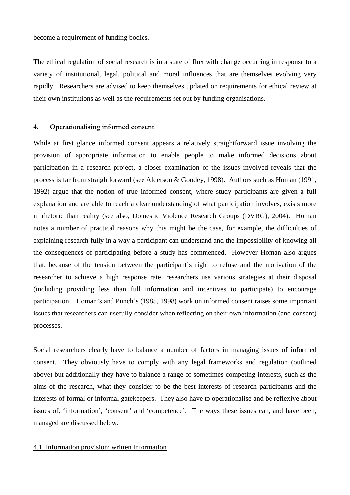become a requirement of funding bodies.

The ethical regulation of social research is in a state of flux with change occurring in response to a variety of institutional, legal, political and moral influences that are themselves evolving very rapidly. Researchers are advised to keep themselves updated on requirements for ethical review at their own institutions as well as the requirements set out by funding organisations.

## **4. Operationalising informed consent**

While at first glance informed consent appears a relatively straightforward issue involving the provision of appropriate information to enable people to make informed decisions about participation in a research project, a closer examination of the issues involved reveals that the process is far from straightforward (see Alderson & Goodey, 1998). Authors such as Homan (1991, 1992) argue that the notion of true informed consent, where study participants are given a full explanation and are able to reach a clear understanding of what participation involves, exists more in rhetoric than reality (see also, Domestic Violence Research Groups (DVRG), 2004). Homan notes a number of practical reasons why this might be the case, for example, the difficulties of explaining research fully in a way a participant can understand and the impossibility of knowing all the consequences of participating before a study has commenced. However Homan also argues that, because of the tension between the participant's right to refuse and the motivation of the researcher to achieve a high response rate, researchers use various strategies at their disposal (including providing less than full information and incentives to participate) to encourage participation. Homan's and Punch's (1985, 1998) work on informed consent raises some important issues that researchers can usefully consider when reflecting on their own information (and consent) processes.

Social researchers clearly have to balance a number of factors in managing issues of informed consent. They obviously have to comply with any legal frameworks and regulation (outlined above) but additionally they have to balance a range of sometimes competing interests, such as the aims of the research, what they consider to be the best interests of research participants and the interests of formal or informal gatekeepers. They also have to operationalise and be reflexive about issues of, 'information', 'consent' and 'competence'. The ways these issues can, and have been, managed are discussed below.

#### 4.1. Information provision: written information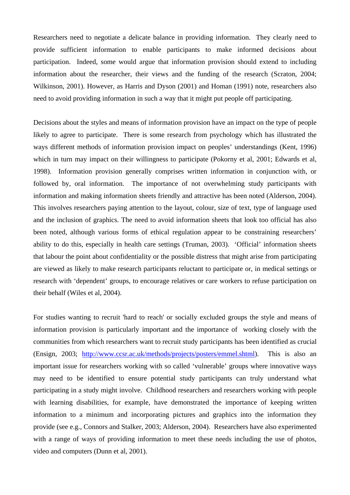Researchers need to negotiate a delicate balance in providing information. They clearly need to provide sufficient information to enable participants to make informed decisions about participation. Indeed, some would argue that information provision should extend to including information about the researcher, their views and the funding of the research (Scraton, 2004; Wilkinson, 2001). However, as Harris and Dyson (2001) and Homan (1991) note, researchers also need to avoid providing information in such a way that it might put people off participating.

Decisions about the styles and means of information provision have an impact on the type of people likely to agree to participate. There is some research from psychology which has illustrated the ways different methods of information provision impact on peoples' understandings (Kent, 1996) which in turn may impact on their willingness to participate (Pokorny et al, 2001; Edwards et al, 1998). Information provision generally comprises written information in conjunction with, or followed by, oral information. The importance of not overwhelming study participants with information and making information sheets friendly and attractive has been noted (Alderson, 2004). This involves researchers paying attention to the layout, colour, size of text, type of language used and the inclusion of graphics. The need to avoid information sheets that look too official has also been noted, although various forms of ethical regulation appear to be constraining researchers' ability to do this, especially in health care settings (Truman, 2003). 'Official' information sheets that labour the point about confidentiality or the possible distress that might arise from participating are viewed as likely to make research participants reluctant to participate or, in medical settings or research with 'dependent' groups, to encourage relatives or care workers to refuse participation on their behalf (Wiles et al, 2004).

For studies wanting to recruit 'hard to reach' or socially excluded groups the style and means of information provision is particularly important and the importance of working closely with the communities from which researchers want to recruit study participants has been identified as crucial (Ensign, 2003; http://www.ccsr.ac.uk/methods/projects/posters/emmel.shtml). This is also an important issue for researchers working with so called 'vulnerable' groups where innovative ways may need to be identified to ensure potential study participants can truly understand what participating in a study might involve. Childhood researchers and researchers working with people with learning disabilities, for example, have demonstrated the importance of keeping written information to a minimum and incorporating pictures and graphics into the information they provide (see e.g., Connors and Stalker, 2003; Alderson, 2004). Researchers have also experimented with a range of ways of providing information to meet these needs including the use of photos, video and computers (Dunn et al, 2001).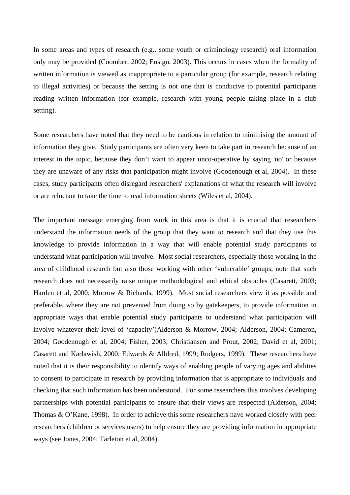In some areas and types of research (e.g., some youth or criminology research) oral information only may be provided (Coomber, 2002; Ensign, 2003). This occurs in cases when the formality of written information is viewed as inappropriate to a particular group (for example, research relating to illegal activities) or because the setting is not one that is conducive to potential participants reading written information (for example, research with young people taking place in a club setting).

Some researchers have noted that they need to be cautious in relation to minimising the amount of information they give. Study participants are often very keen to take part in research because of an interest in the topic, because they don't want to appear unco-operative by saying 'no' or because they are unaware of any risks that participation might involve (Goodenough et al, 2004). In these cases, study participants often disregard researchers' explanations of what the research will involve or are reluctant to take the time to read information sheets (Wiles et al, 2004).

The important message emerging from work in this area is that it is crucial that researchers understand the information needs of the group that they want to research and that they use this knowledge to provide information in a way that will enable potential study participants to understand what participation will involve. Most social researchers, especially those working in the area of childhood research but also those working with other 'vulnerable' groups, note that such research does not necessarily raise unique methodological and ethical obstacles (Casarett, 2003; Harden et al, 2000; Morrow & Richards, 1999). Most social researchers view it as possible and preferable, where they are not prevented from doing so by gatekeepers, to provide information in appropriate ways that enable potential study participants to understand what participation will involve whatever their level of 'capacity'(Alderson & Morrow, 2004; Alderson, 2004; Cameron, 2004; Goodenough et al, 2004; Fisher, 2003; Christiansen and Prout, 2002; David et al, 2001; Casarett and Karlawish, 2000; Edwards & Alldred, 1999; Rodgers, 1999). These researchers have noted that it is their responsibility to identify ways of enabling people of varying ages and abilities to consent to participate in research by providing information that is appropriate to individuals and checking that such information has been understood. For some researchers this involves developing partnerships with potential participants to ensure that their views are respected (Alderson, 2004; Thomas & O'Kane, 1998). In order to achieve this some researchers have worked closely with peer researchers (children or services users) to help ensure they are providing information in appropriate ways (see Jones, 2004; Tarleton et al, 2004).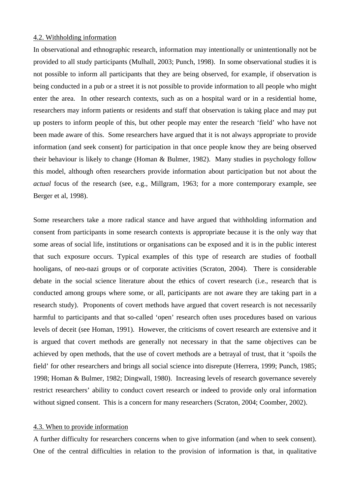#### 4.2. Withholding information

In observational and ethnographic research, information may intentionally or unintentionally not be provided to all study participants (Mulhall, 2003; Punch, 1998). In some observational studies it is not possible to inform all participants that they are being observed, for example, if observation is being conducted in a pub or a street it is not possible to provide information to all people who might enter the area. In other research contexts, such as on a hospital ward or in a residential home, researchers may inform patients or residents and staff that observation is taking place and may put up posters to inform people of this, but other people may enter the research 'field' who have not been made aware of this. Some researchers have argued that it is not always appropriate to provide information (and seek consent) for participation in that once people know they are being observed their behaviour is likely to change (Homan & Bulmer, 1982). Many studies in psychology follow this model, although often researchers provide information about participation but not about the *actual* focus of the research (see, e.g., Millgram, 1963; for a more contemporary example, see Berger et al, 1998).

Some researchers take a more radical stance and have argued that withholding information and consent from participants in some research contexts is appropriate because it is the only way that some areas of social life, institutions or organisations can be exposed and it is in the public interest that such exposure occurs. Typical examples of this type of research are studies of football hooligans, of neo-nazi groups or of corporate activities (Scraton, 2004). There is considerable debate in the social science literature about the ethics of covert research (i.e., research that is conducted among groups where some, or all, participants are not aware they are taking part in a research study). Proponents of covert methods have argued that covert research is not necessarily harmful to participants and that so-called 'open' research often uses procedures based on various levels of deceit (see Homan, 1991). However, the criticisms of covert research are extensive and it is argued that covert methods are generally not necessary in that the same objectives can be achieved by open methods, that the use of covert methods are a betrayal of trust, that it 'spoils the field' for other researchers and brings all social science into disrepute (Herrera, 1999; Punch, 1985; 1998; Homan & Bulmer, 1982; Dingwall, 1980). Increasing levels of research governance severely restrict researchers' ability to conduct covert research or indeed to provide only oral information without signed consent. This is a concern for many researchers (Scraton, 2004; Coomber, 2002).

#### 4.3. When to provide information

A further difficulty for researchers concerns when to give information (and when to seek consent). One of the central difficulties in relation to the provision of information is that, in qualitative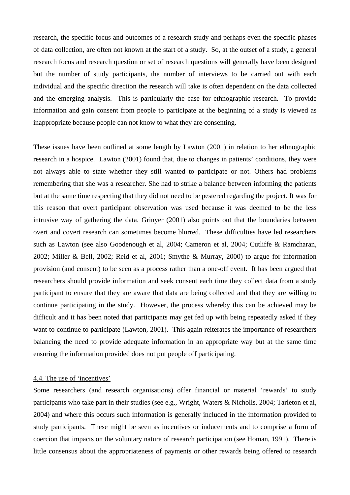research, the specific focus and outcomes of a research study and perhaps even the specific phases of data collection, are often not known at the start of a study. So, at the outset of a study, a general research focus and research question or set of research questions will generally have been designed but the number of study participants, the number of interviews to be carried out with each individual and the specific direction the research will take is often dependent on the data collected and the emerging analysis. This is particularly the case for ethnographic research. To provide information and gain consent from people to participate at the beginning of a study is viewed as inappropriate because people can not know to what they are consenting.

These issues have been outlined at some length by Lawton (2001) in relation to her ethnographic research in a hospice. Lawton (2001) found that, due to changes in patients' conditions, they were not always able to state whether they still wanted to participate or not. Others had problems remembering that she was a researcher. She had to strike a balance between informing the patients but at the same time respecting that they did not need to be pestered regarding the project. It was for this reason that overt participant observation was used because it was deemed to be the less intrusive way of gathering the data. Grinyer (2001) also points out that the boundaries between overt and covert research can sometimes become blurred. These difficulties have led researchers such as Lawton (see also Goodenough et al, 2004; Cameron et al, 2004; Cutliffe & Ramcharan, 2002; Miller & Bell, 2002; Reid et al, 2001; Smythe & Murray, 2000) to argue for information provision (and consent) to be seen as a process rather than a one-off event. It has been argued that researchers should provide information and seek consent each time they collect data from a study participant to ensure that they are aware that data are being collected and that they are willing to continue participating in the study. However, the process whereby this can be achieved may be difficult and it has been noted that participants may get fed up with being repeatedly asked if they want to continue to participate (Lawton, 2001). This again reiterates the importance of researchers balancing the need to provide adequate information in an appropriate way but at the same time ensuring the information provided does not put people off participating.

#### 4.4. The use of 'incentives'

Some researchers (and research organisations) offer financial or material 'rewards' to study participants who take part in their studies (see e.g., Wright, Waters & Nicholls, 2004; Tarleton et al, 2004) and where this occurs such information is generally included in the information provided to study participants. These might be seen as incentives or inducements and to comprise a form of coercion that impacts on the voluntary nature of research participation (see Homan, 1991). There is little consensus about the appropriateness of payments or other rewards being offered to research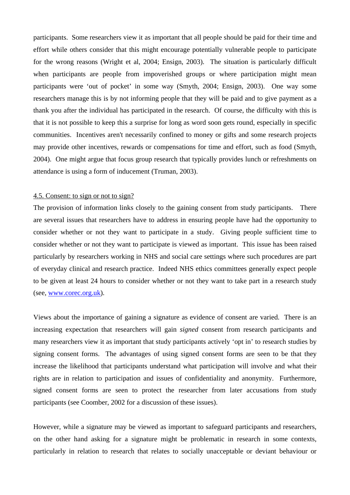participants. Some researchers view it as important that all people should be paid for their time and effort while others consider that this might encourage potentially vulnerable people to participate for the wrong reasons (Wright et al, 2004; Ensign, 2003). The situation is particularly difficult when participants are people from impoverished groups or where participation might mean participants were 'out of pocket' in some way (Smyth, 2004; Ensign, 2003). One way some researchers manage this is by not informing people that they will be paid and to give payment as a thank you after the individual has participated in the research. Of course, the difficulty with this is that it is not possible to keep this a surprise for long as word soon gets round, especially in specific communities. Incentives aren't necessarily confined to money or gifts and some research projects may provide other incentives, rewards or compensations for time and effort, such as food (Smyth, 2004). One might argue that focus group research that typically provides lunch or refreshments on attendance is using a form of inducement (Truman, 2003).

#### 4.5. Consent: to sign or not to sign?

The provision of information links closely to the gaining consent from study participants. There are several issues that researchers have to address in ensuring people have had the opportunity to consider whether or not they want to participate in a study. Giving people sufficient time to consider whether or not they want to participate is viewed as important. This issue has been raised particularly by researchers working in NHS and social care settings where such procedures are part of everyday clinical and research practice. Indeed NHS ethics committees generally expect people to be given at least 24 hours to consider whether or not they want to take part in a research study (see, www.corec.org.uk).

Views about the importance of gaining a signature as evidence of consent are varied. There is an increasing expectation that researchers will gain *signed* consent from research participants and many researchers view it as important that study participants actively 'opt in' to research studies by signing consent forms. The advantages of using signed consent forms are seen to be that they increase the likelihood that participants understand what participation will involve and what their rights are in relation to participation and issues of confidentiality and anonymity. Furthermore, signed consent forms are seen to protect the researcher from later accusations from study participants (see Coomber, 2002 for a discussion of these issues).

However, while a signature may be viewed as important to safeguard participants and researchers, on the other hand asking for a signature might be problematic in research in some contexts, particularly in relation to research that relates to socially unacceptable or deviant behaviour or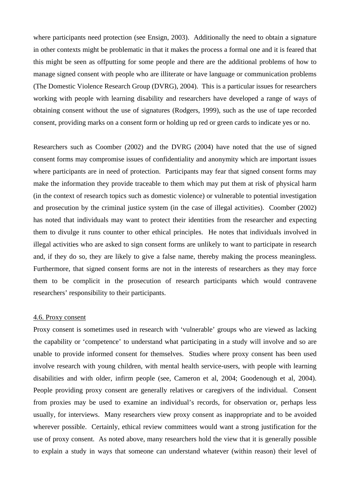where participants need protection (see Ensign, 2003). Additionally the need to obtain a signature in other contexts might be problematic in that it makes the process a formal one and it is feared that this might be seen as offputting for some people and there are the additional problems of how to manage signed consent with people who are illiterate or have language or communication problems (The Domestic Violence Research Group (DVRG), 2004). This is a particular issues for researchers working with people with learning disability and researchers have developed a range of ways of obtaining consent without the use of signatures (Rodgers, 1999), such as the use of tape recorded consent, providing marks on a consent form or holding up red or green cards to indicate yes or no.

Researchers such as Coomber (2002) and the DVRG (2004) have noted that the use of signed consent forms may compromise issues of confidentiality and anonymity which are important issues where participants are in need of protection. Participants may fear that signed consent forms may make the information they provide traceable to them which may put them at risk of physical harm (in the context of research topics such as domestic violence) or vulnerable to potential investigation and prosecution by the criminal justice system (in the case of illegal activities). Coomber (2002) has noted that individuals may want to protect their identities from the researcher and expecting them to divulge it runs counter to other ethical principles. He notes that individuals involved in illegal activities who are asked to sign consent forms are unlikely to want to participate in research and, if they do so, they are likely to give a false name, thereby making the process meaningless. Furthermore, that signed consent forms are not in the interests of researchers as they may force them to be complicit in the prosecution of research participants which would contravene researchers' responsibility to their participants.

#### 4.6. Proxy consent

Proxy consent is sometimes used in research with 'vulnerable' groups who are viewed as lacking the capability or 'competence' to understand what participating in a study will involve and so are unable to provide informed consent for themselves. Studies where proxy consent has been used involve research with young children, with mental health service-users, with people with learning disabilities and with older, infirm people (see, Cameron et al, 2004; Goodenough et al, 2004). People providing proxy consent are generally relatives or caregivers of the individual. Consent from proxies may be used to examine an individual's records, for observation or, perhaps less usually, for interviews. Many researchers view proxy consent as inappropriate and to be avoided wherever possible. Certainly, ethical review committees would want a strong justification for the use of proxy consent. As noted above, many researchers hold the view that it is generally possible to explain a study in ways that someone can understand whatever (within reason) their level of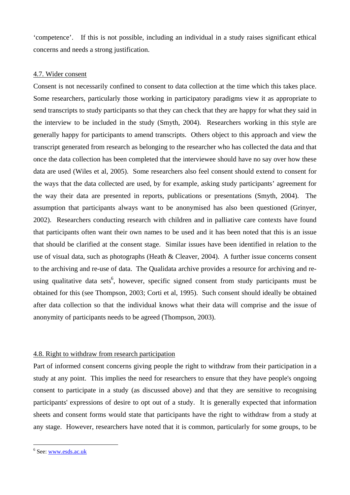'competence'. If this is not possible, including an individual in a study raises significant ethical concerns and needs a strong justification.

#### 4.7. Wider consent

Consent is not necessarily confined to consent to data collection at the time which this takes place. Some researchers, particularly those working in participatory paradigms view it as appropriate to send transcripts to study participants so that they can check that they are happy for what they said in the interview to be included in the study (Smyth, 2004). Researchers working in this style are generally happy for participants to amend transcripts. Others object to this approach and view the transcript generated from research as belonging to the researcher who has collected the data and that once the data collection has been completed that the interviewee should have no say over how these data are used (Wiles et al, 2005). Some researchers also feel consent should extend to consent for the ways that the data collected are used, by for example, asking study participants' agreement for the way their data are presented in reports, publications or presentations (Smyth, 2004). The assumption that participants always want to be anonymised has also been questioned (Grinyer, 2002). Researchers conducting research with children and in palliative care contexts have found that participants often want their own names to be used and it has been noted that this is an issue that should be clarified at the consent stage. Similar issues have been identified in relation to the use of visual data, such as photographs (Heath & Cleaver, 2004). A further issue concerns consent to the archiving and re-use of data. The Qualidata archive provides a resource for archiving and reusing qualitative data sets<sup>6</sup>, however, specific signed consent from study participants must be obtained for this (see Thompson, 2003; Corti et al, 1995). Such consent should ideally be obtained after data collection so that the individual knows what their data will comprise and the issue of anonymity of participants needs to be agreed (Thompson, 2003).

# 4.8. Right to withdraw from research participation

Part of informed consent concerns giving people the right to withdraw from their participation in a study at any point. This implies the need for researchers to ensure that they have people's ongoing consent to participate in a study (as discussed above) and that they are sensitive to recognising participants' expressions of desire to opt out of a study. It is generally expected that information sheets and consent forms would state that participants have the right to withdraw from a study at any stage. However, researchers have noted that it is common, particularly for some groups, to be

 $\overline{a}$ 

<sup>&</sup>lt;sup>6</sup> See: www.esds.ac.uk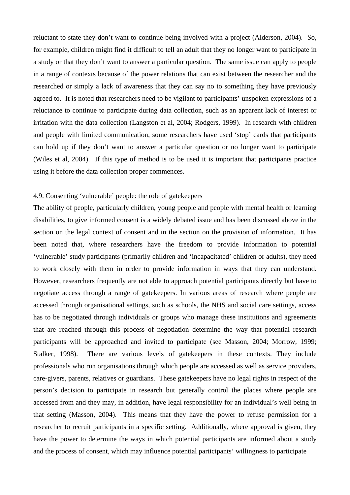reluctant to state they don't want to continue being involved with a project (Alderson, 2004). So, for example, children might find it difficult to tell an adult that they no longer want to participate in a study or that they don't want to answer a particular question. The same issue can apply to people in a range of contexts because of the power relations that can exist between the researcher and the researched or simply a lack of awareness that they can say no to something they have previously agreed to. It is noted that researchers need to be vigilant to participants' unspoken expressions of a reluctance to continue to participate during data collection, such as an apparent lack of interest or irritation with the data collection (Langston et al, 2004; Rodgers, 1999). In research with children and people with limited communication, some researchers have used 'stop' cards that participants can hold up if they don't want to answer a particular question or no longer want to participate (Wiles et al, 2004). If this type of method is to be used it is important that participants practice using it before the data collection proper commences.

#### 4.9. Consenting 'vulnerable' people: the role of gatekeepers

The ability of people, particularly children, young people and people with mental health or learning disabilities, to give informed consent is a widely debated issue and has been discussed above in the section on the legal context of consent and in the section on the provision of information. It has been noted that, where researchers have the freedom to provide information to potential 'vulnerable' study participants (primarily children and 'incapacitated' children or adults), they need to work closely with them in order to provide information in ways that they can understand. However, researchers frequently are not able to approach potential participants directly but have to negotiate access through a range of gatekeepers. In various areas of research where people are accessed through organisational settings, such as schools, the NHS and social care settings, access has to be negotiated through individuals or groups who manage these institutions and agreements that are reached through this process of negotiation determine the way that potential research participants will be approached and invited to participate (see Masson, 2004; Morrow, 1999; Stalker, 1998). There are various levels of gatekeepers in these contexts. They include professionals who run organisations through which people are accessed as well as service providers, care-givers, parents, relatives or guardians. These gatekeepers have no legal rights in respect of the person's decision to participate in research but generally control the places where people are accessed from and they may, in addition, have legal responsibility for an individual's well being in that setting (Masson, 2004). This means that they have the power to refuse permission for a researcher to recruit participants in a specific setting. Additionally, where approval is given, they have the power to determine the ways in which potential participants are informed about a study and the process of consent, which may influence potential participants' willingness to participate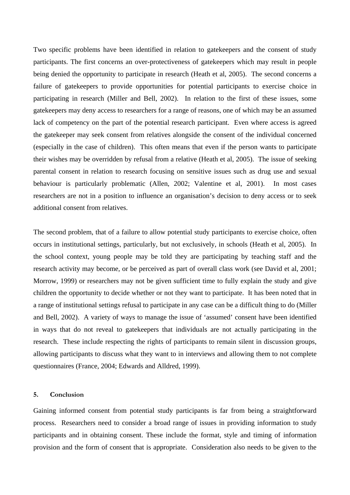Two specific problems have been identified in relation to gatekeepers and the consent of study participants. The first concerns an over-protectiveness of gatekeepers which may result in people being denied the opportunity to participate in research (Heath et al, 2005). The second concerns a failure of gatekeepers to provide opportunities for potential participants to exercise choice in participating in research (Miller and Bell, 2002). In relation to the first of these issues, some gatekeepers may deny access to researchers for a range of reasons, one of which may be an assumed lack of competency on the part of the potential research participant. Even where access is agreed the gatekeeper may seek consent from relatives alongside the consent of the individual concerned (especially in the case of children). This often means that even if the person wants to participate their wishes may be overridden by refusal from a relative (Heath et al, 2005). The issue of seeking parental consent in relation to research focusing on sensitive issues such as drug use and sexual behaviour is particularly problematic (Allen, 2002; Valentine et al, 2001). In most cases researchers are not in a position to influence an organisation's decision to deny access or to seek additional consent from relatives.

The second problem, that of a failure to allow potential study participants to exercise choice, often occurs in institutional settings, particularly, but not exclusively, in schools (Heath et al, 2005). In the school context, young people may be told they are participating by teaching staff and the research activity may become, or be perceived as part of overall class work (see David et al, 2001; Morrow, 1999) or researchers may not be given sufficient time to fully explain the study and give children the opportunity to decide whether or not they want to participate. It has been noted that in a range of institutional settings refusal to participate in any case can be a difficult thing to do (Miller and Bell, 2002). A variety of ways to manage the issue of 'assumed' consent have been identified in ways that do not reveal to gatekeepers that individuals are not actually participating in the research. These include respecting the rights of participants to remain silent in discussion groups, allowing participants to discuss what they want to in interviews and allowing them to not complete questionnaires (France, 2004; Edwards and Alldred, 1999).

#### **5. Conclusion**

Gaining informed consent from potential study participants is far from being a straightforward process. Researchers need to consider a broad range of issues in providing information to study participants and in obtaining consent. These include the format, style and timing of information provision and the form of consent that is appropriate. Consideration also needs to be given to the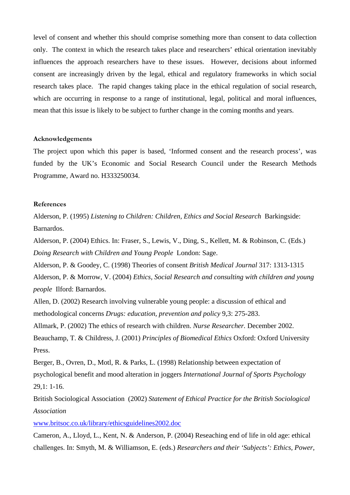level of consent and whether this should comprise something more than consent to data collection only. The context in which the research takes place and researchers' ethical orientation inevitably influences the approach researchers have to these issues. However, decisions about informed consent are increasingly driven by the legal, ethical and regulatory frameworks in which social research takes place. The rapid changes taking place in the ethical regulation of social research, which are occurring in response to a range of institutional, legal, political and moral influences, mean that this issue is likely to be subject to further change in the coming months and years.

#### **Acknowledgements**

The project upon which this paper is based, 'Informed consent and the research process', was funded by the UK's Economic and Social Research Council under the Research Methods Programme, Award no. H333250034.

#### **References**

Alderson, P. (1995) *Listening to Children: Children, Ethics and Social Research* Barkingside: Barnardos.

Alderson, P. (2004) Ethics. In: Fraser, S., Lewis, V., Ding, S., Kellett, M. & Robinson, C. (Eds.) *Doing Research with Children and Young People* London: Sage.

Alderson, P. & Goodey, C. (1998) Theories of consent *British Medical Journal* 317: 1313-1315

Alderson, P. & Morrow, V. (2004) *Ethics, Social Research and consulting with children and young people* Ilford: Barnardos.

Allen, D. (2002) Research involving vulnerable young people: a discussion of ethical and methodological concerns *Drugs: education, prevention and policy* 9,3: 275-283.

Allmark, P. (2002) The ethics of research with children. *Nurse Researcher.* December 2002.

Beauchamp, T. & Childress, J. (2001) *Principles of Biomedical Ethics* Oxford: Oxford University Press.

Berger, B., Ovren, D., Motl, R. & Parks, L. (1998) Relationship between expectation of psychological benefit and mood alteration in joggers *International Journal of Sports Psychology*  29,1: 1-16.

British Sociological Association (2002) *Statement of Ethical Practice for the British Sociological Association* 

www.britsoc.co.uk/library/ethicsguidelines2002.doc

Cameron, A., Lloyd, L., Kent, N. & Anderson, P. (2004) Reseaching end of life in old age: ethical challenges. In: Smyth, M. & Williamson, E. (eds.) *Researchers and their 'Subjects': Ethics, Power,*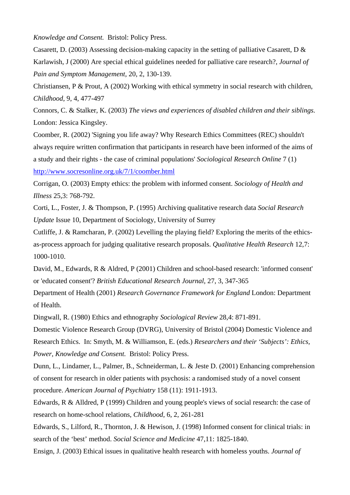*Knowledge and Consent.* Bristol: Policy Press.

Casarett, D. (2003) Assessing decision-making capacity in the setting of palliative Casarett, D & Karlawish, J (2000) Are special ethical guidelines needed for palliative care research?, *Journal of Pain and Symptom Management*, 20, 2, 130-139.

Christiansen, P & Prout, A (2002) Working with ethical symmetry in social research with children, *Childhood*, 9, 4, 477-497

Connors, C. & Stalker, K. (2003) *The views and experiences of disabled children and their siblings.*  London: Jessica Kingsley.

Coomber, R. (2002) 'Signing you life away? Why Research Ethics Committees (REC) shouldn't always require written confirmation that participants in research have been informed of the aims of a study and their rights - the case of criminal populations' *Sociological Research Online* 7 (1) http://www.socresonline.org.uk/7/1/coomber.html

Corrigan, O. (2003) Empty ethics: the problem with informed consent. *Sociology of Health and Illness* 25,3: 768-792.

Corti, L., Foster, J. & Thompson, P. (1995) Archiving qualitative research data *Social Research Update* Issue 10, Department of Sociology, University of Surrey

Cutliffe, J. & Ramcharan, P. (2002) Levelling the playing field? Exploring the merits of the ethicsas-process approach for judging qualitative research proposals. *Qualitative Health Research* 12,7: 1000-1010.

David, M., Edwards, R & Aldred, P (2001) Children and school-based research: 'informed consent' or 'educated consent'? *British Educational Research Journal*, 27, 3, 347-365

Department of Health (2001) *Research Governance Framework for England* London: Department of Health.

Dingwall, R. (1980) Ethics and ethnography *Sociological Review* 28,4: 871-891.

Domestic Violence Research Group (DVRG), University of Bristol (2004) Domestic Violence and Research Ethics. In: Smyth, M. & Williamson, E. (eds.) *Researchers and their 'Subjects': Ethics, Power, Knowledge and Consent.* Bristol: Policy Press.

Dunn, L., Lindamer, L., Palmer, B., Schneiderman, L. & Jeste D. (2001) Enhancing comprehension of consent for research in older patients with psychosis: a randomised study of a novel consent procedure. *American Journal of Psychiatry* 158 (11): 1911-1913.

Edwards, R & Alldred, P (1999) Children and young people's views of social research: the case of research on home-school relations, *Childhood*, 6, 2, 261-281

Edwards, S., Lilford, R., Thornton, J. & Hewison, J. (1998) Informed consent for clinical trials: in search of the 'best' method. *Social Science and Medicine* 47,11: 1825-1840.

Ensign, J. (2003) Ethical issues in qualitative health research with homeless youths. *Journal of*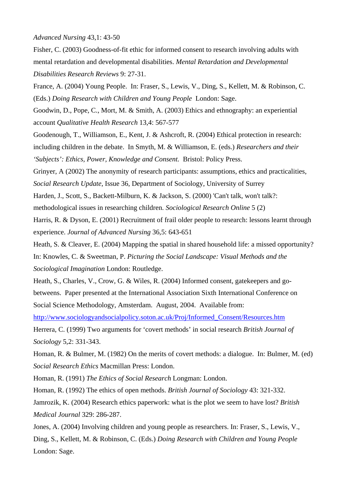#### *Advanced Nursing* 43,1: 43-50

Fisher, C. (2003) Goodness-of-fit ethic for informed consent to research involving adults with mental retardation and developmental disabilities. *Mental Retardation and Developmental Disabilities Research Reviews* 9: 27-31.

France, A. (2004) Young People. In: Fraser, S., Lewis, V., Ding, S., Kellett, M. & Robinson, C. (Eds.) *Doing Research with Children and Young People* London: Sage.

Goodwin, D., Pope, C., Mort, M. & Smith, A. (2003) Ethics and ethnography: an experiential account *Qualitative Health Research* 13,4: 567-577

Goodenough, T., Williamson, E., Kent, J. & Ashcroft, R. (2004) Ethical protection in research: including children in the debate. In Smyth, M. & Williamson, E. (eds.) *Researchers and their 'Subjects': Ethics, Power, Knowledge and Consent.* Bristol: Policy Press.

Grinyer, A (2002) The anonymity of research participants: assumptions, ethics and practicalities, *Social Research Update*, Issue 36, Department of Sociology, University of Surrey

Harden, J., Scott, S., Backett-Milburn, K. & Jackson, S. (2000) 'Can't talk, won't talk?:

methodological issues in researching children. *Sociological Research Online* 5 (2)

Harris, R. & Dyson, E. (2001) Recruitment of frail older people to research: lessons learnt through experience. *Journal of Advanced Nursing* 36,5: 643-651

Heath, S. & Cleaver, E. (2004) Mapping the spatial in shared household life: a missed opportunity? In: Knowles, C. & Sweetman, P. *Picturing the Social Landscape: Visual Methods and the Sociological Imagination* London: Routledge.

Heath, S., Charles, V., Crow, G. & Wiles, R. (2004) Informed consent, gatekeepers and gobetweens. Paper presented at the International Association Sixth International Conference on Social Science Methodology, Amsterdam. August, 2004. Available from:

http://www.sociologyandsocialpolicy.soton.ac.uk/Proj/Informed\_Consent/Resources.htm

Herrera, C. (1999) Two arguments for 'covert methods' in social research *British Journal of Sociology* 5,2: 331-343.

Homan, R. & Bulmer, M. (1982) On the merits of covert methods: a dialogue. In: Bulmer, M. (ed) *Social Research Ethics* Macmillan Press: London.

Homan, R. (1991) *The Ethics of Social Research* Longman: London.

Homan, R. (1992) The ethics of open methods. *British Journal of Sociology* 43: 321-332.

Jamrozik, K. (2004) Research ethics paperwork: what is the plot we seem to have lost? *British Medical Journal* 329: 286-287.

Jones, A. (2004) Involving children and young people as researchers. In: Fraser, S., Lewis, V., Ding, S., Kellett, M. & Robinson, C. (Eds.) *Doing Research with Children and Young People*  London: Sage.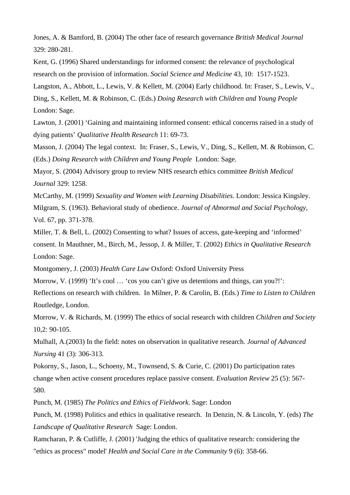Jones, A. & Bamford, B. (2004) The other face of research governance *British Medical Journal*  329: 280-281.

Kent, G. (1996) Shared understandings for informed consent: the relevance of psychological research on the provision of information. *Social Science and Medicine* 43, 10: 1517-1523.

Langston, A., Abbott, L., Lewis, V. & Kellett, M. (2004) Early childhood. In: Fraser, S., Lewis, V., Ding, S., Kellett, M. & Robinson, C. (Eds.) *Doing Research with Children and Young People*  London: Sage.

Lawton, J. (2001) 'Gaining and maintaining informed consent: ethical concerns raised in a study of dying patients' *Qualitative Health Research* 11: 69-73.

Masson, J. (2004) The legal context. In: Fraser, S., Lewis, V., Ding, S., Kellett, M. & Robinson, C. (Eds.) *Doing Research with Children and Young People* London: Sage.

Mayor, S. (2004) Advisory group to review NHS research ethics committee *British Medical Journal* 329: 1258.

McCarthy, M. (1999) *Sexuality and Women with Learning Disabilities.* London: Jessica Kingsley. Milgram, S. (1963). Behavioral study of obedience. *Journal of Abnormal and Social Psychology*, Vol. 67, pp. 371-378.

Miller, T. & Bell, L. (2002) Consenting to what? Issues of access, gate-keeping and 'informed' consent. In Mauthner, M., Birch, M., Jessop, J. & Miller, T. (2002) *Ethics in Qualitative Research*  London: Sage.

Montgomery, J. (2003) *Health Care Law* Oxford: Oxford University Press

Morrow, V. (1999) 'It's cool ... 'cos you can't give us detentions and things, can you?!':

Reflections on research with children. In Milner, P. & Carolin, B. (Eds.) *Time to Listen to Children*  Routledge, London.

Morrow, V. & Richards, M. (1999) The ethics of social research with children *Children and Society*  10,2: 90-105.

Mulhall, A.(2003) In the field: notes on observation in qualitative research. *Journal of Advanced Nursing* 41 (3): 306-313.

Pokorny, S., Jason, L., Schoeny, M., Townsend, S. & Curie, C. (2001) Do participation rates change when active consent procedures replace passive consent. *Evaluation Review* 25 (5): 567- 580.

Punch, M. (1985) *The Politics and Ethics of Fieldwork.* Sage: London

Punch, M. (1998) Politics and ethics in qualitative research. In Denzin, N. & Lincoln, Y. (eds) *The Landscape of Qualitative Research* Sage: London.

Ramcharan, P. & Cutliffe, J. (2001) 'Judging the ethics of qualitative research: considering the "ethics as process" model' *Health and Social Care in the Community* 9 (6): 358-66.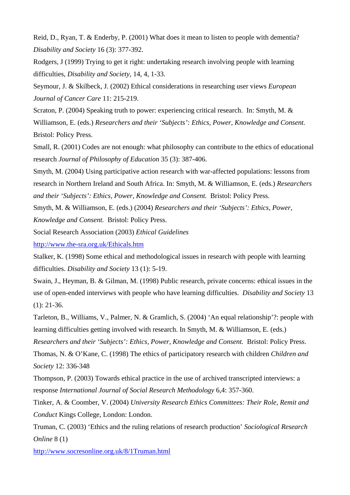Reid, D., Ryan, T. & Enderby, P. (2001) What does it mean to listen to people with dementia? *Disability and Society* 16 (3): 377-392.

Rodgers, J (1999) Trying to get it right: undertaking research involving people with learning difficulties, *Disability and Society*, 14, 4, 1-33.

Seymour, J. & Skilbeck, J. (2002) Ethical considerations in researching user views *European Journal of Cancer Care* 11: 215-219.

Scraton, P. (2004) Speaking truth to power: experiencing critical research. In: Smyth, M. & Williamson, E. (eds.) *Researchers and their 'Subjects': Ethics, Power, Knowledge and Consent.* Bristol: Policy Press.

Small, R. (2001) Codes are not enough: what philosophy can contribute to the ethics of educational research *Journal of Philosophy of Education* 35 (3): 387-406.

Smyth, M. (2004) Using participative action research with war-affected populations: lessons from research in Northern Ireland and South Africa. In: Smyth, M. & Williamson, E. (eds.) *Researchers and their 'Subjects': Ethics, Power, Knowledge and Consent.* Bristol: Policy Press.

Smyth, M. & Williamson, E. (eds.) (2004) *Researchers and their 'Subjects': Ethics, Power,* 

*Knowledge and Consent.* Bristol: Policy Press.

Social Research Association (2003) *Ethical Guidelines* 

http://www.the-sra.org.uk/Ethicals.htm

Stalker, K. (1998) Some ethical and methodological issues in research with people with learning difficulties. *Disability and Society* 13 (1): 5-19.

Swain, J., Heyman, B. & Gilman, M. (1998) Public research, private concerns: ethical issues in the use of open-ended interviews with people who have learning difficulties. *Disability and Society* 13  $(1): 21-36.$ 

Tarleton, B., Williams, V., Palmer, N. & Gramlich, S. (2004) 'An equal relationship'?: people with learning difficulties getting involved with research. In Smyth, M. & Williamson, E. (eds.)

*Researchers and their 'Subjects': Ethics, Power, Knowledge and Consent.* Bristol: Policy Press.

Thomas, N. & O'Kane, C. (1998) The ethics of participatory research with children *Children and Society* 12: 336-348

Thompson, P. (2003) Towards ethical practice in the use of archived transcripted interviews: a response *International Journal of Social Research Methodology* 6,4: 357-360.

Tinker, A. & Coomber, V. (2004) *University Research Ethics Committees: Their Role, Remit and Conduct* Kings College, London: London.

Truman, C. (2003) 'Ethics and the ruling relations of research production' *Sociological Research Online* 8 (1)

http://www.socresonline.org.uk/8/1Truman.html